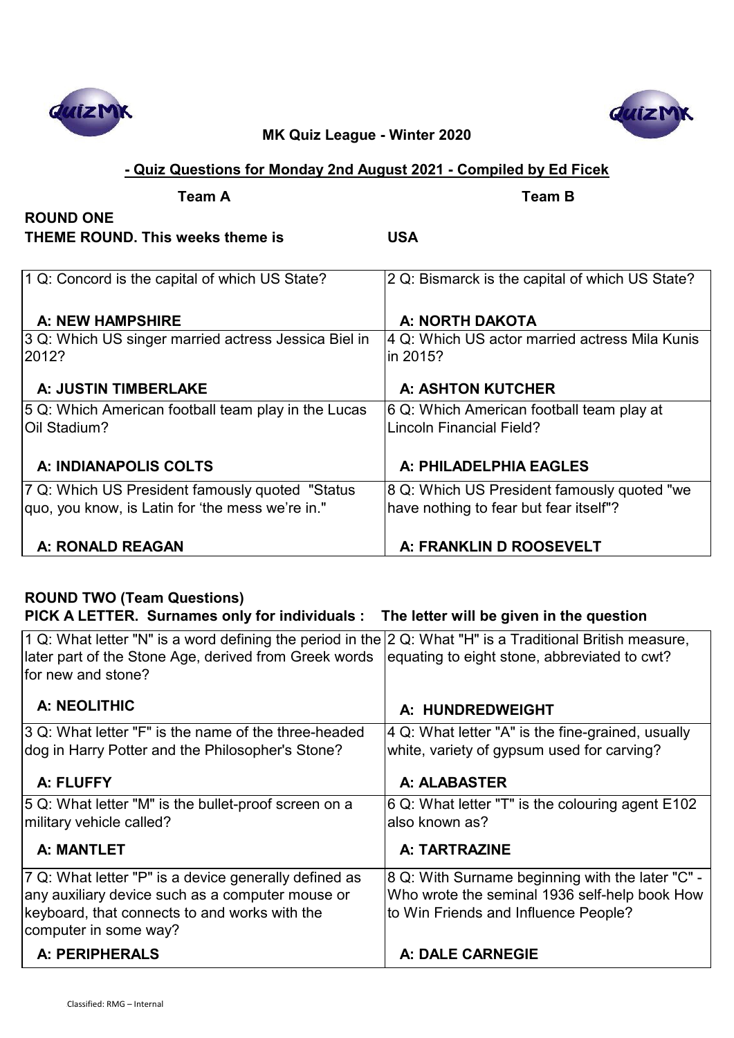

# **QUIZN**

## **MK Quiz League - Winter 2020**

## **- Quiz Questions for Monday 2nd August 2021 - Compiled by Ed Ficek**

| <b>Team A</b>                                        | <b>Team B</b>                                   |
|------------------------------------------------------|-------------------------------------------------|
| <b>ROUND ONE</b>                                     |                                                 |
| <b>THEME ROUND. This weeks theme is</b>              | <b>USA</b>                                      |
|                                                      |                                                 |
| 1 Q: Concord is the capital of which US State?       | 2 Q: Bismarck is the capital of which US State? |
|                                                      |                                                 |
| A: NEW HAMPSHIRE                                     | A: NORTH DAKOTA                                 |
| 3 Q: Which US singer married actress Jessica Biel in | 4 Q: Which US actor married actress Mila Kunis  |
| 2012?                                                | in 2015?                                        |
|                                                      |                                                 |
| A: JUSTIN TIMBERLAKE                                 | <b>A: ASHTON KUTCHER</b>                        |
| 5 Q: Which American football team play in the Lucas  | 6 Q: Which American football team play at       |
| Oil Stadium?                                         | <b>Lincoln Financial Field?</b>                 |
|                                                      |                                                 |
| A: INDIANAPOLIS COLTS                                | A: PHILADELPHIA EAGLES                          |
| 7 Q: Which US President famously quoted "Status      | 8 Q: Which US President famously quoted "we     |
| quo, you know, is Latin for 'the mess we're in."     | have nothing to fear but fear itself"?          |
|                                                      |                                                 |
| A: RONALD REAGAN                                     | A: FRANKLIN D ROOSEVELT                         |

## **ROUND TWO (Team Questions)**

**PICK A LETTER. Surnames only for individuals : The letter will be given in the question**

| 1 Q: What letter "N" is a word defining the period in the $2$ Q: What "H" is a Traditional British measure,<br>later part of the Stone Age, derived from Greek words<br>for new and stone? | equating to eight stone, abbreviated to cwt?      |
|--------------------------------------------------------------------------------------------------------------------------------------------------------------------------------------------|---------------------------------------------------|
| A: NEOLITHIC                                                                                                                                                                               | A: HUNDREDWEIGHT                                  |
| 3 Q: What letter "F" is the name of the three-headed                                                                                                                                       | 4 Q: What letter "A" is the fine-grained, usually |
| dog in Harry Potter and the Philosopher's Stone?                                                                                                                                           | white, variety of gypsum used for carving?        |
| A: FLUFFY                                                                                                                                                                                  | A: ALABASTER                                      |
| 5 Q: What letter "M" is the bullet-proof screen on a                                                                                                                                       | 6 Q: What letter "T" is the colouring agent E102  |
| military vehicle called?                                                                                                                                                                   | also known as?                                    |
| <b>A: MANTLET</b>                                                                                                                                                                          | A: TARTRAZINE                                     |
| 7 Q: What letter "P" is a device generally defined as                                                                                                                                      | 8 Q: With Surname beginning with the later "C" -  |
| any auxiliary device such as a computer mouse or                                                                                                                                           | Who wrote the seminal 1936 self-help book How     |
| keyboard, that connects to and works with the<br>computer in some way?                                                                                                                     | to Win Friends and Influence People?              |
| A: PERIPHERALS                                                                                                                                                                             | <b>A: DALE CARNEGIE</b>                           |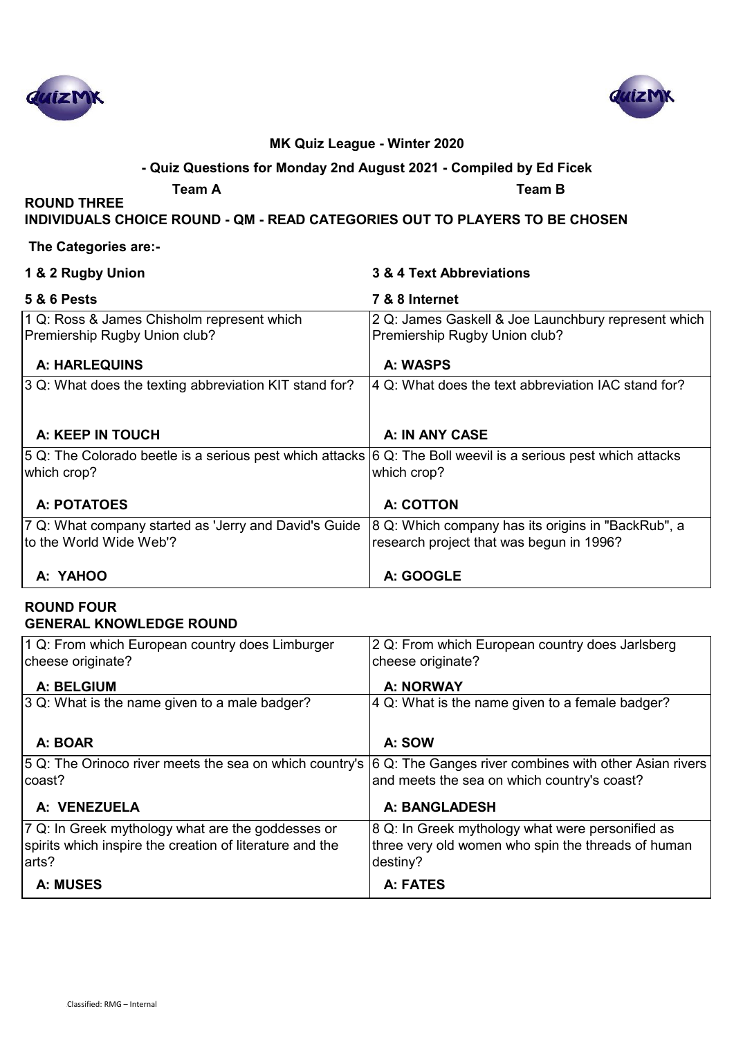



## **- Quiz Questions for Monday 2nd August 2021 - Compiled by Ed Ficek**

**ROUND THREE** 

**Team A Team B**

**INDIVIDUALS CHOICE ROUND - QM - READ CATEGORIES OUT TO PLAYERS TO BE CHOSEN**

#### **The Categories are:-**

| 1 & 2 Rugby Union                                                                                                            | 3 & 4 Text Abbreviations                                                                       |
|------------------------------------------------------------------------------------------------------------------------------|------------------------------------------------------------------------------------------------|
| <b>5 &amp; 6 Pests</b>                                                                                                       | 7 & 8 Internet                                                                                 |
| 1 Q: Ross & James Chisholm represent which<br>Premiership Rugby Union club?                                                  | 2 Q: James Gaskell & Joe Launchbury represent which<br>Premiership Rugby Union club?           |
| <b>A: HARLEQUINS</b>                                                                                                         | A: WASPS                                                                                       |
| 3 Q: What does the texting abbreviation KIT stand for?                                                                       | 4 Q: What does the text abbreviation IAC stand for?                                            |
| A: KEEP IN TOUCH                                                                                                             | A: IN ANY CASE                                                                                 |
| 5 Q: The Colorado beetle is a serious pest which attacks 6 Q: The Boll weevil is a serious pest which attacks<br>which crop? | which crop?                                                                                    |
| A: POTATOES                                                                                                                  | A: COTTON                                                                                      |
| 7 Q: What company started as 'Jerry and David's Guide<br>to the World Wide Web'?                                             | 8 Q: Which company has its origins in "BackRub", a<br>research project that was begun in 1996? |
| A: YAHOO                                                                                                                     | A: GOOGLE                                                                                      |

#### **ROUND FOUR GENERAL KNOWLEDGE ROUND**

| 1 Q: From which European country does Limburger                                                                    | 2 Q: From which European country does Jarlsberg    |
|--------------------------------------------------------------------------------------------------------------------|----------------------------------------------------|
| cheese originate?                                                                                                  | cheese originate?                                  |
|                                                                                                                    |                                                    |
| A: BELGIUM                                                                                                         | A: NORWAY                                          |
| 3 Q: What is the name given to a male badger?                                                                      | 4 Q: What is the name given to a female badger?    |
|                                                                                                                    |                                                    |
|                                                                                                                    |                                                    |
| A: BOAR                                                                                                            | A: SOW                                             |
| 5 Q: The Orinoco river meets the sea on which country's $ 6 Q$ : The Ganges river combines with other Asian rivers |                                                    |
| coast?                                                                                                             | and meets the sea on which country's coast?        |
|                                                                                                                    |                                                    |
| A: VENEZUELA                                                                                                       | A: BANGLADESH                                      |
|                                                                                                                    |                                                    |
| 7 Q: In Greek mythology what are the goddesses or                                                                  | 8 Q: In Greek mythology what were personified as   |
| spirits which inspire the creation of literature and the                                                           | three very old women who spin the threads of human |
| larts?                                                                                                             |                                                    |
|                                                                                                                    | destiny?                                           |
| A: MUSES                                                                                                           | A: FATES                                           |
|                                                                                                                    |                                                    |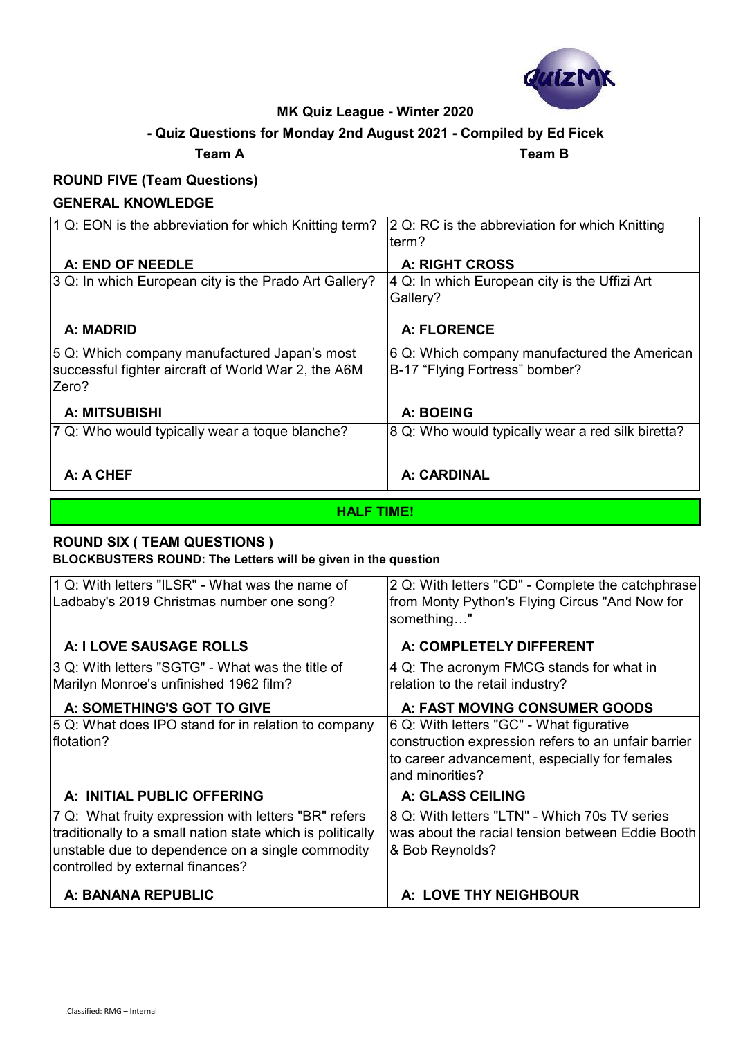

## **- Quiz Questions for Monday 2nd August 2021 - Compiled by Ed Ficek**

**Team A Team B**

#### **ROUND FIVE (Team Questions)**

#### **GENERAL KNOWLEDGE**

| 1 Q: EON is the abbreviation for which Knitting term? | 2 Q: RC is the abbreviation for which Knitting    |
|-------------------------------------------------------|---------------------------------------------------|
|                                                       | term?                                             |
| A: END OF NEEDLE                                      | <b>A: RIGHT CROSS</b>                             |
| 3 Q: In which European city is the Prado Art Gallery? | 4 Q: In which European city is the Uffizi Art     |
|                                                       | Gallery?                                          |
|                                                       |                                                   |
| A: MADRID                                             | <b>A: FLORENCE</b>                                |
| 5 Q: Which company manufactured Japan's most          | 6 Q: Which company manufactured the American      |
| successful fighter aircraft of World War 2, the A6M   | B-17 "Flying Fortress" bomber?                    |
| Zero?                                                 |                                                   |
|                                                       |                                                   |
| <b>A: MITSUBISHI</b>                                  | A: BOEING                                         |
| 7 Q: Who would typically wear a toque blanche?        | 8 Q: Who would typically wear a red silk biretta? |
|                                                       |                                                   |
|                                                       |                                                   |
| A: A CHEF                                             | A: CARDINAL                                       |

#### **HALF TIME!**

## **ROUND SIX ( TEAM QUESTIONS )**

**BLOCKBUSTERS ROUND: The Letters will be given in the question**

| 1 Q: With letters "ILSR" - What was the name of<br>Ladbaby's 2019 Christmas number one song?                                                                                                               | 2 Q: With letters "CD" - Complete the catchphrase<br>from Monty Python's Flying Circus "And Now for<br>something"                                                   |
|------------------------------------------------------------------------------------------------------------------------------------------------------------------------------------------------------------|---------------------------------------------------------------------------------------------------------------------------------------------------------------------|
| A: I LOVE SAUSAGE ROLLS                                                                                                                                                                                    | A: COMPLETELY DIFFERENT                                                                                                                                             |
| 3 Q: With letters "SGTG" - What was the title of<br>Marilyn Monroe's unfinished 1962 film?                                                                                                                 | 4 Q: The acronym FMCG stands for what in<br>relation to the retail industry?                                                                                        |
| A: SOMETHING'S GOT TO GIVE                                                                                                                                                                                 | A: FAST MOVING CONSUMER GOODS                                                                                                                                       |
| 5 Q: What does IPO stand for in relation to company<br>flotation?                                                                                                                                          | 6 Q: With letters "GC" - What figurative<br>construction expression refers to an unfair barrier<br>to career advancement, especially for females<br>and minorities? |
| A: INITIAL PUBLIC OFFERING                                                                                                                                                                                 | <b>A: GLASS CEILING</b>                                                                                                                                             |
| 7 Q: What fruity expression with letters "BR" refers<br>traditionally to a small nation state which is politically<br>unstable due to dependence on a single commodity<br>controlled by external finances? | 8 Q: With letters "LTN" - Which 70s TV series<br>was about the racial tension between Eddie Booth<br>& Bob Reynolds?                                                |
| A: BANANA REPUBLIC                                                                                                                                                                                         | A: LOVE THY NEIGHBOUR                                                                                                                                               |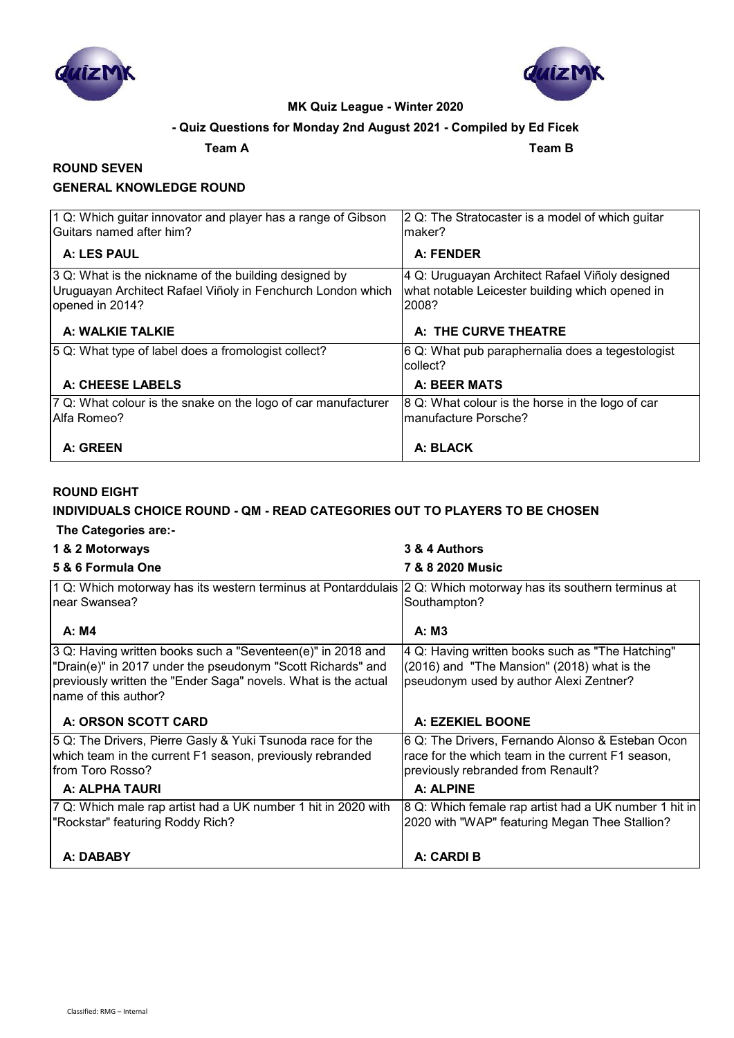



#### **- Quiz Questions for Monday 2nd August 2021 - Compiled by Ed Ficek**

**Team A Team B**

#### **ROUND SEVEN GENERAL KNOWLEDGE ROUND**

| 1 Q: Which guitar innovator and player has a range of Gibson<br>Guitars named after him?                                                | 2 Q: The Stratocaster is a model of which guitar<br>maker?                                                  |
|-----------------------------------------------------------------------------------------------------------------------------------------|-------------------------------------------------------------------------------------------------------------|
| A: LES PAUL                                                                                                                             | A: FENDER                                                                                                   |
| 3 Q: What is the nickname of the building designed by<br>Uruguayan Architect Rafael Viñoly in Fenchurch London which<br>opened in 2014? | 4 Q: Uruguayan Architect Rafael Viñoly designed<br>what notable Leicester building which opened in<br>2008? |
| A: WALKIE TALKIE                                                                                                                        | A: THE CURVE THEATRE                                                                                        |
| 5 Q: What type of label does a fromologist collect?                                                                                     | 6 Q: What pub paraphernalia does a tegestologist<br>collect?                                                |
| A: CHEESE LABELS                                                                                                                        | A: BEER MATS                                                                                                |
| 7 Q: What colour is the snake on the logo of car manufacturer<br>Alfa Romeo?                                                            | 8 Q: What colour is the horse in the logo of car<br>manufacture Porsche?                                    |
| A: GREEN                                                                                                                                | A: BLACK                                                                                                    |

#### **ROUND EIGHT**

#### **INDIVIDUALS CHOICE ROUND - QM - READ CATEGORIES OUT TO PLAYERS TO BE CHOSEN The Categories are:-**

| 1 & 2 Motorways                                                                                                                                                                                                      | 3 & 4 Authors                                                                                                                               |
|----------------------------------------------------------------------------------------------------------------------------------------------------------------------------------------------------------------------|---------------------------------------------------------------------------------------------------------------------------------------------|
| 5 & 6 Formula One                                                                                                                                                                                                    | 7 & 8 2020 Music                                                                                                                            |
| 1 Q: Which motorway has its western terminus at Pontarddulais 2 Q: Which motorway has its southern terminus at<br>near Swansea?                                                                                      | Southampton?                                                                                                                                |
| A: M4                                                                                                                                                                                                                | A: M3                                                                                                                                       |
| 3 Q: Having written books such a "Seventeen(e)" in 2018 and<br>"Drain(e)" in 2017 under the pseudonym "Scott Richards" and<br>previously written the "Ender Saga" novels. What is the actual<br>name of this author? | 4 Q: Having written books such as "The Hatching"<br>(2016) and "The Mansion" (2018) what is the<br>pseudonym used by author Alexi Zentner?  |
| A: ORSON SCOTT CARD                                                                                                                                                                                                  | A: EZEKIEL BOONE                                                                                                                            |
| 5 Q: The Drivers, Pierre Gasly & Yuki Tsunoda race for the<br>which team in the current F1 season, previously rebranded<br>lfrom Toro Rosso?                                                                         | 6 Q: The Drivers, Fernando Alonso & Esteban Ocon<br>race for the which team in the current F1 season,<br>previously rebranded from Renault? |
| A: ALPHA TAURI                                                                                                                                                                                                       | A: ALPINE                                                                                                                                   |
| 7 Q: Which male rap artist had a UK number 1 hit in 2020 with<br>"Rockstar" featuring Roddy Rich?                                                                                                                    | 8 Q: Which female rap artist had a UK number 1 hit in<br>2020 with "WAP" featuring Megan Thee Stallion?                                     |
| A: DABABY                                                                                                                                                                                                            | A: CARDI B                                                                                                                                  |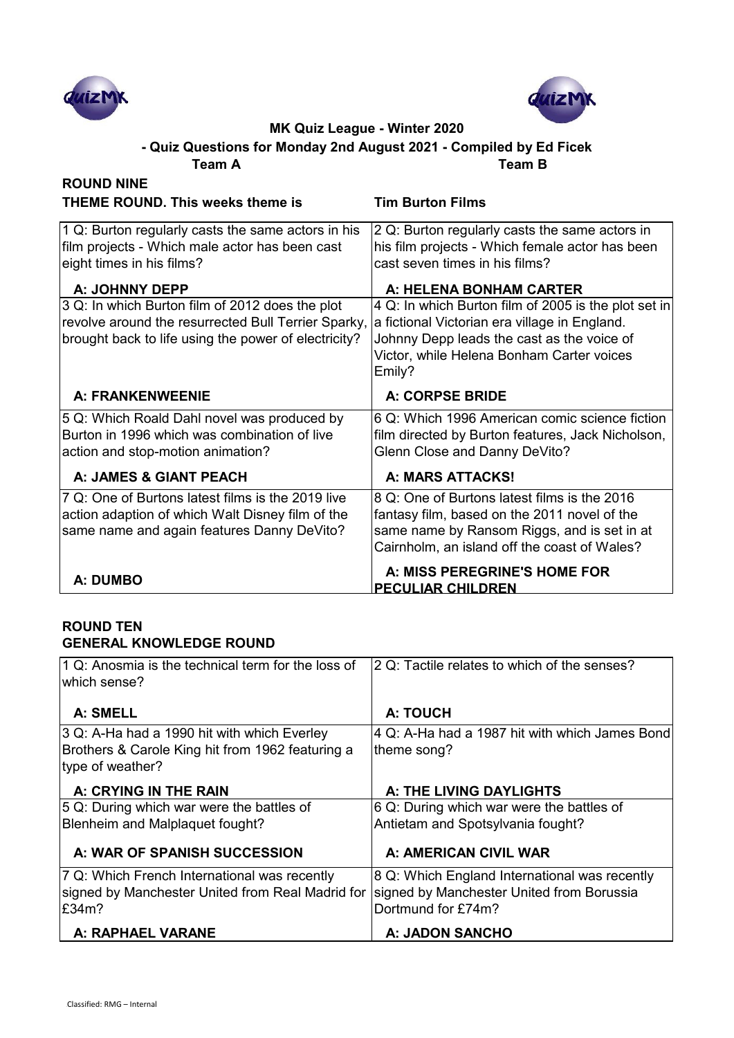



**Team A Team B - Quiz Questions for Monday 2nd August 2021 - Compiled by Ed Ficek**

| <b>ROUND NINE</b>                                                                                                                                              |                                                                                                                                                                                                            |
|----------------------------------------------------------------------------------------------------------------------------------------------------------------|------------------------------------------------------------------------------------------------------------------------------------------------------------------------------------------------------------|
| <b>THEME ROUND. This weeks theme is</b>                                                                                                                        | <b>Tim Burton Films</b>                                                                                                                                                                                    |
| 1 Q: Burton regularly casts the same actors in his<br>film projects - Which male actor has been cast<br>eight times in his films?<br>A: JOHNNY DEPP            | 2 Q: Burton regularly casts the same actors in<br>his film projects - Which female actor has been<br>cast seven times in his films?<br>A: HELENA BONHAM CARTER                                             |
| 3 Q: In which Burton film of 2012 does the plot<br>revolve around the resurrected Bull Terrier Sparky,<br>brought back to life using the power of electricity? | 4 Q: In which Burton film of 2005 is the plot set in<br>a fictional Victorian era village in England.<br>Johnny Depp leads the cast as the voice of<br>Victor, while Helena Bonham Carter voices<br>Emily? |
| A: FRANKENWEENIE                                                                                                                                               | <b>A: CORPSE BRIDE</b>                                                                                                                                                                                     |
| 5 Q: Which Roald Dahl novel was produced by<br>Burton in 1996 which was combination of live<br>action and stop-motion animation?                               | 6 Q: Which 1996 American comic science fiction<br>film directed by Burton features, Jack Nicholson,<br>Glenn Close and Danny DeVito?                                                                       |
| A: JAMES & GIANT PEACH                                                                                                                                         | <b>A: MARS ATTACKS!</b>                                                                                                                                                                                    |
| 7 Q: One of Burtons latest films is the 2019 live<br>action adaption of which Walt Disney film of the<br>same name and again features Danny DeVito?            | 8 Q: One of Burtons latest films is the 2016<br>fantasy film, based on the 2011 novel of the<br>same name by Ransom Riggs, and is set in at<br>Cairnholm, an island off the coast of Wales?                |
| A: DUMBO                                                                                                                                                       | A: MISS PEREGRINE'S HOME FOR<br><b>PECULIAR CHILDREN</b>                                                                                                                                                   |

#### **ROUND TEN GENERAL KNOWLEDGE ROUND**

| $ 1 Q$ : Anosmia is the technical term for the loss of<br>lwhich sense?                                             | 2 Q: Tactile relates to which of the senses?                                                                     |
|---------------------------------------------------------------------------------------------------------------------|------------------------------------------------------------------------------------------------------------------|
| A: SMELL                                                                                                            | A: TOUCH                                                                                                         |
| 3 Q: A-Ha had a 1990 hit with which Everley<br>Brothers & Carole King hit from 1962 featuring a<br>type of weather? | 4 Q: A-Ha had a 1987 hit with which James Bond<br>theme song?                                                    |
| A: CRYING IN THE RAIN                                                                                               | A: THE LIVING DAYLIGHTS                                                                                          |
| 5 Q: During which war were the battles of<br>Blenheim and Malplaquet fought?                                        | 6 Q: During which war were the battles of<br>Antietam and Spotsylvania fought?                                   |
| A: WAR OF SPANISH SUCCESSION                                                                                        | A: AMERICAN CIVIL WAR                                                                                            |
| 7 Q: Which French International was recently<br>signed by Manchester United from Real Madrid for<br>E34m?           | 8 Q: Which England International was recently<br>signed by Manchester United from Borussia<br>Dortmund for £74m? |
| A: RAPHAEL VARANE                                                                                                   | <b>A: JADON SANCHO</b>                                                                                           |